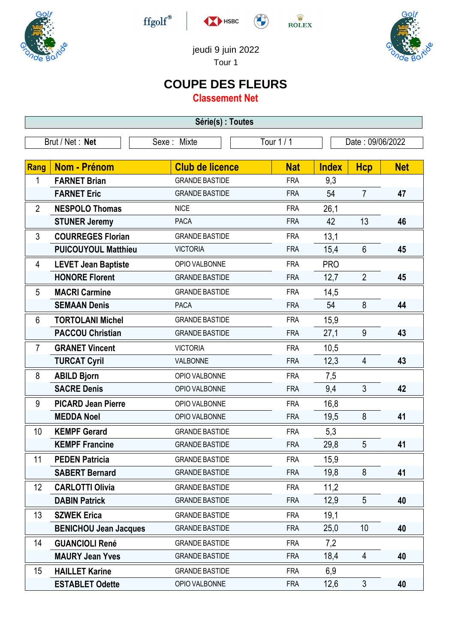

 $\operatorname{ffgolf}^{\circledast}$ 



 $\stackrel{\text{W}}{\text{ROLEX}}$ 



jeudi 9 juin 2022

Tour 1

## **COUPE DES FLEURS**

**Classement Net**

| Série(s) : Toutes                                                |                              |                        |            |              |                |            |  |
|------------------------------------------------------------------|------------------------------|------------------------|------------|--------------|----------------|------------|--|
| Tour 1 / 1<br>Brut / Net: Net<br>Sexe: Mixte<br>Date: 09/06/2022 |                              |                        |            |              |                |            |  |
|                                                                  |                              |                        |            |              |                |            |  |
| <b>Rang</b>                                                      | <b>Nom - Prénom</b>          | <b>Club de licence</b> | <b>Nat</b> | <b>Index</b> | <b>Hcp</b>     | <b>Net</b> |  |
| 1                                                                | <b>FARNET Brian</b>          | <b>GRANDE BASTIDE</b>  | <b>FRA</b> | 9,3          |                |            |  |
|                                                                  | <b>FARNET Eric</b>           | <b>GRANDE BASTIDE</b>  | <b>FRA</b> | 54           | $\overline{7}$ | 47         |  |
| $\overline{2}$                                                   | <b>NESPOLO Thomas</b>        | <b>NICE</b>            | <b>FRA</b> | 26,1         |                |            |  |
|                                                                  | <b>STUNER Jeremy</b>         | <b>PACA</b>            | <b>FRA</b> | 42           | 13             | 46         |  |
| 3                                                                | <b>COURREGES Florian</b>     | <b>GRANDE BASTIDE</b>  | <b>FRA</b> | 13,1         |                |            |  |
|                                                                  | <b>PUICOUYOUL Matthieu</b>   | <b>VICTORIA</b>        | <b>FRA</b> | 15,4         | 6              | 45         |  |
| 4                                                                | <b>LEVET Jean Baptiste</b>   | OPIO VALBONNE          | <b>FRA</b> | <b>PRO</b>   |                |            |  |
|                                                                  | <b>HONORE Florent</b>        | <b>GRANDE BASTIDE</b>  | <b>FRA</b> | 12,7         | $\overline{2}$ | 45         |  |
| 5                                                                | <b>MACRI Carmine</b>         | <b>GRANDE BASTIDE</b>  | <b>FRA</b> | 14,5         |                |            |  |
|                                                                  | <b>SEMAAN Denis</b>          | <b>PACA</b>            | <b>FRA</b> | 54           | 8              | 44         |  |
| 6                                                                | <b>TORTOLANI Michel</b>      | <b>GRANDE BASTIDE</b>  | <b>FRA</b> | 15,9         |                |            |  |
|                                                                  | <b>PACCOU Christian</b>      | <b>GRANDE BASTIDE</b>  | <b>FRA</b> | 27,1         | $9\,$          | 43         |  |
| $\overline{7}$                                                   | <b>GRANET Vincent</b>        | <b>VICTORIA</b>        | <b>FRA</b> | 10,5         |                |            |  |
|                                                                  | <b>TURCAT Cyril</b>          | VALBONNE               | <b>FRA</b> | 12,3         | $\overline{4}$ | 43         |  |
| 8                                                                | <b>ABILD Bjorn</b>           | OPIO VALBONNE          | <b>FRA</b> | 7,5          |                |            |  |
|                                                                  | <b>SACRE Denis</b>           | OPIO VALBONNE          | <b>FRA</b> | 9,4          | $\mathfrak{Z}$ | 42         |  |
| 9                                                                | <b>PICARD Jean Pierre</b>    | OPIO VALBONNE          | <b>FRA</b> | 16,8         |                |            |  |
|                                                                  | <b>MEDDA Noel</b>            | OPIO VALBONNE          | <b>FRA</b> | 19,5         | 8              | 41         |  |
| 10                                                               | <b>KEMPF Gerard</b>          | <b>GRANDE BASTIDE</b>  | <b>FRA</b> | 5,3          |                |            |  |
|                                                                  | <b>KEMPF Francine</b>        | <b>GRANDE BASTIDE</b>  | <b>FRA</b> | 29,8         | 5              | 41         |  |
| 11                                                               | <b>PEDEN Patricia</b>        | <b>GRANDE BASTIDE</b>  | <b>FRA</b> | 15,9         |                |            |  |
|                                                                  | <b>SABERT Bernard</b>        | <b>GRANDE BASTIDE</b>  | <b>FRA</b> | 19,8         | 8              | 41         |  |
| 12 <sup>°</sup>                                                  | <b>CARLOTTI Olivia</b>       | <b>GRANDE BASTIDE</b>  | <b>FRA</b> | 11,2         |                |            |  |
|                                                                  | <b>DABIN Patrick</b>         | <b>GRANDE BASTIDE</b>  | <b>FRA</b> | 12,9         | 5              | 40         |  |
| 13                                                               | <b>SZWEK Erica</b>           | <b>GRANDE BASTIDE</b>  | <b>FRA</b> | 19,1         |                |            |  |
|                                                                  | <b>BENICHOU Jean Jacques</b> | <b>GRANDE BASTIDE</b>  | <b>FRA</b> | 25,0         | 10             | 40         |  |
| 14                                                               | <b>GUANCIOLI René</b>        | <b>GRANDE BASTIDE</b>  | <b>FRA</b> | 7,2          |                |            |  |
|                                                                  | <b>MAURY Jean Yves</b>       | <b>GRANDE BASTIDE</b>  | <b>FRA</b> | 18,4         | 4              | 40         |  |
| 15                                                               | <b>HAILLET Karine</b>        | <b>GRANDE BASTIDE</b>  | <b>FRA</b> | 6,9          |                |            |  |
|                                                                  | <b>ESTABLET Odette</b>       | OPIO VALBONNE          | <b>FRA</b> | 12,6         | $\mathfrak{Z}$ | 40         |  |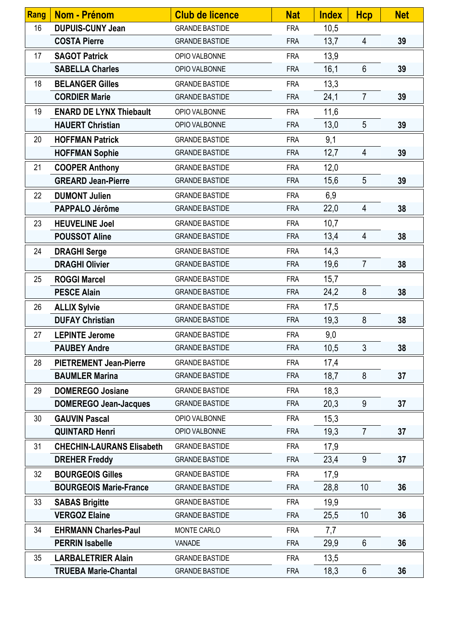| Rang | <b>Nom - Prénom</b>              | <b>Club de licence</b> | <b>Nat</b> | <b>Index</b> | <b>Hcp</b>     | <b>Net</b> |
|------|----------------------------------|------------------------|------------|--------------|----------------|------------|
| 16   | <b>DUPUIS-CUNY Jean</b>          | <b>GRANDE BASTIDE</b>  | <b>FRA</b> | 10,5         |                |            |
|      | <b>COSTA Pierre</b>              | <b>GRANDE BASTIDE</b>  | <b>FRA</b> | 13,7         | $\overline{4}$ | 39         |
| 17   | <b>SAGOT Patrick</b>             | OPIO VALBONNE          | <b>FRA</b> | 13,9         |                |            |
|      | <b>SABELLA Charles</b>           | OPIO VALBONNE          | <b>FRA</b> | 16,1         | $6\phantom{.}$ | 39         |
| 18   | <b>BELANGER Gilles</b>           | <b>GRANDE BASTIDE</b>  | <b>FRA</b> | 13,3         |                |            |
|      | <b>CORDIER Marie</b>             | <b>GRANDE BASTIDE</b>  | <b>FRA</b> | 24,1         | $\overline{7}$ | 39         |
| 19   | <b>ENARD DE LYNX Thiebault</b>   | OPIO VALBONNE          | <b>FRA</b> | 11,6         |                |            |
|      | <b>HAUERT Christian</b>          | OPIO VALBONNE          | <b>FRA</b> | 13,0         | 5              | 39         |
| 20   | <b>HOFFMAN Patrick</b>           | <b>GRANDE BASTIDE</b>  | <b>FRA</b> | 9,1          |                |            |
|      | <b>HOFFMAN Sophie</b>            | <b>GRANDE BASTIDE</b>  | <b>FRA</b> | 12,7         | 4              | 39         |
| 21   | <b>COOPER Anthony</b>            | <b>GRANDE BASTIDE</b>  | <b>FRA</b> | 12,0         |                |            |
|      | <b>GREARD Jean-Pierre</b>        | <b>GRANDE BASTIDE</b>  | <b>FRA</b> | 15,6         | 5              | 39         |
| 22   | <b>DUMONT Julien</b>             | <b>GRANDE BASTIDE</b>  | <b>FRA</b> | 6,9          |                |            |
|      | PAPPALO Jérôme                   | <b>GRANDE BASTIDE</b>  | <b>FRA</b> | 22,0         | 4              | 38         |
| 23   | <b>HEUVELINE Joel</b>            | <b>GRANDE BASTIDE</b>  | <b>FRA</b> | 10,7         |                |            |
|      | <b>POUSSOT Aline</b>             | <b>GRANDE BASTIDE</b>  | <b>FRA</b> | 13,4         | $\overline{4}$ | 38         |
| 24   | <b>DRAGHI Serge</b>              | <b>GRANDE BASTIDE</b>  | <b>FRA</b> | 14,3         |                |            |
|      | <b>DRAGHI Olivier</b>            | <b>GRANDE BASTIDE</b>  | <b>FRA</b> | 19,6         | $\overline{7}$ | 38         |
| 25   | <b>ROGGI Marcel</b>              | <b>GRANDE BASTIDE</b>  | <b>FRA</b> | 15,7         |                |            |
|      | <b>PESCE Alain</b>               | <b>GRANDE BASTIDE</b>  | <b>FRA</b> | 24,2         | 8              | 38         |
| 26   | <b>ALLIX Sylvie</b>              | <b>GRANDE BASTIDE</b>  | <b>FRA</b> | 17,5         |                |            |
|      | <b>DUFAY Christian</b>           | <b>GRANDE BASTIDE</b>  | <b>FRA</b> | 19,3         | 8              | 38         |
| 27   | <b>LEPINTE Jerome</b>            | <b>GRANDE BASTIDE</b>  | <b>FRA</b> | 9,0          |                |            |
|      | <b>PAUBEY Andre</b>              | <b>GRANDE BASTIDE</b>  | <b>FRA</b> | 10,5         | 3              | 38         |
| 28   | <b>PIETREMENT Jean-Pierre</b>    | <b>GRANDE BASTIDE</b>  | <b>FRA</b> | 17,4         |                |            |
|      | <b>BAUMLER Marina</b>            | <b>GRANDE BASTIDE</b>  | <b>FRA</b> | 18,7         | 8              | 37         |
| 29   | <b>DOMEREGO Josiane</b>          | <b>GRANDE BASTIDE</b>  | <b>FRA</b> | 18,3         |                |            |
|      | <b>DOMEREGO Jean-Jacques</b>     | <b>GRANDE BASTIDE</b>  | <b>FRA</b> | 20,3         | 9              | 37         |
| 30   | <b>GAUVIN Pascal</b>             | OPIO VALBONNE          | <b>FRA</b> | 15,3         |                |            |
|      | <b>QUINTARD Henri</b>            | OPIO VALBONNE          | <b>FRA</b> | 19,3         | $\overline{7}$ | 37         |
| 31   | <b>CHECHIN-LAURANS Elisabeth</b> | <b>GRANDE BASTIDE</b>  | <b>FRA</b> | 17,9         |                |            |
|      | <b>DREHER Freddy</b>             | <b>GRANDE BASTIDE</b>  | <b>FRA</b> | 23,4         | 9              | 37         |
| 32   | <b>BOURGEOIS Gilles</b>          | <b>GRANDE BASTIDE</b>  | <b>FRA</b> | 17,9         |                |            |
|      | <b>BOURGEOIS Marie-France</b>    | <b>GRANDE BASTIDE</b>  | <b>FRA</b> | 28,8         | 10             | 36         |
| 33   | <b>SABAS Brigitte</b>            | <b>GRANDE BASTIDE</b>  | <b>FRA</b> | 19,9         |                |            |
|      | <b>VERGOZ Elaine</b>             | <b>GRANDE BASTIDE</b>  | <b>FRA</b> | 25,5         | 10             | 36         |
| 34   | <b>EHRMANN Charles-Paul</b>      | MONTE CARLO            | <b>FRA</b> | 7,7          |                |            |
|      | <b>PERRIN Isabelle</b>           | VANADE                 | <b>FRA</b> | 29,9         | 6              | 36         |
| 35   | <b>LARBALETRIER Alain</b>        | <b>GRANDE BASTIDE</b>  | <b>FRA</b> | 13,5         |                |            |
|      | <b>TRUEBA Marie-Chantal</b>      | <b>GRANDE BASTIDE</b>  | <b>FRA</b> | 18,3         | $6\phantom{.}$ | 36         |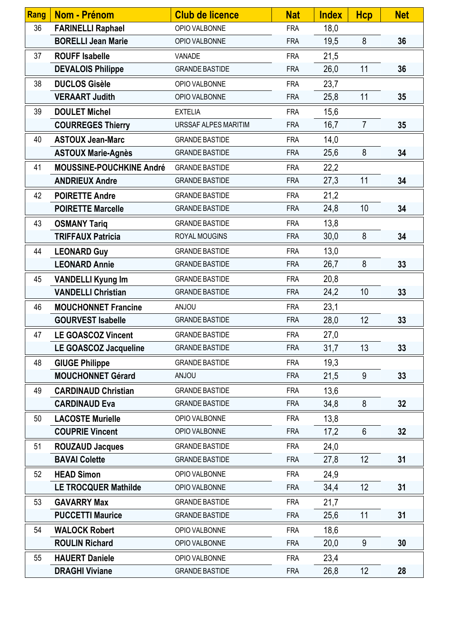| Rang | <b>Nom - Prénom</b>             | <b>Club de licence</b> | <b>Nat</b> | <b>Index</b> | <b>Hcp</b>     | <b>Net</b> |
|------|---------------------------------|------------------------|------------|--------------|----------------|------------|
| 36   | <b>FARINELLI Raphael</b>        | OPIO VALBONNE          | <b>FRA</b> | 18,0         |                |            |
|      | <b>BORELLI Jean Marie</b>       | OPIO VALBONNE          | <b>FRA</b> | 19,5         | 8              | 36         |
| 37   | <b>ROUFF Isabelle</b>           | VANADE                 | <b>FRA</b> | 21,5         |                |            |
|      | <b>DEVALOIS Philippe</b>        | <b>GRANDE BASTIDE</b>  | <b>FRA</b> | 26,0         | 11             | 36         |
| 38   | <b>DUCLOS Gisèle</b>            | OPIO VALBONNE          | <b>FRA</b> | 23,7         |                |            |
|      | <b>VERAART Judith</b>           | OPIO VALBONNE          | <b>FRA</b> | 25,8         | 11             | 35         |
| 39   | <b>DOULET Michel</b>            | <b>EXTELIA</b>         | <b>FRA</b> | 15,6         |                |            |
|      | <b>COURREGES Thierry</b>        | URSSAF ALPES MARITIM   | <b>FRA</b> | 16,7         | $\overline{7}$ | 35         |
| 40   | <b>ASTOUX Jean-Marc</b>         | <b>GRANDE BASTIDE</b>  | <b>FRA</b> | 14,0         |                |            |
|      | <b>ASTOUX Marie-Agnès</b>       | <b>GRANDE BASTIDE</b>  | <b>FRA</b> | 25,6         | 8              | 34         |
| 41   | <b>MOUSSINE-POUCHKINE André</b> | <b>GRANDE BASTIDE</b>  | <b>FRA</b> | 22,2         |                |            |
|      | <b>ANDRIEUX Andre</b>           | <b>GRANDE BASTIDE</b>  | <b>FRA</b> | 27,3         | 11             | 34         |
| 42   | <b>POIRETTE Andre</b>           | <b>GRANDE BASTIDE</b>  | <b>FRA</b> | 21,2         |                |            |
|      | <b>POIRETTE Marcelle</b>        | <b>GRANDE BASTIDE</b>  | <b>FRA</b> | 24,8         | 10             | 34         |
| 43   | <b>OSMANY Tariq</b>             | <b>GRANDE BASTIDE</b>  | <b>FRA</b> | 13,8         |                |            |
|      | <b>TRIFFAUX Patricia</b>        | ROYAL MOUGINS          | <b>FRA</b> | 30,0         | 8              | 34         |
| 44   | <b>LEONARD Guy</b>              | <b>GRANDE BASTIDE</b>  | <b>FRA</b> | 13,0         |                |            |
|      | <b>LEONARD Annie</b>            | <b>GRANDE BASTIDE</b>  | <b>FRA</b> | 26,7         | 8              | 33         |
| 45   | <b>VANDELLI Kyung Im</b>        | <b>GRANDE BASTIDE</b>  | <b>FRA</b> | 20,8         |                |            |
|      | <b>VANDELLI Christian</b>       | <b>GRANDE BASTIDE</b>  | <b>FRA</b> | 24,2         | 10             | 33         |
| 46   | <b>MOUCHONNET Francine</b>      | <b>UOLIA</b>           | <b>FRA</b> | 23,1         |                |            |
|      | <b>GOURVEST Isabelle</b>        | <b>GRANDE BASTIDE</b>  | <b>FRA</b> | 28,0         | 12             | 33         |
| 47   | <b>LE GOASCOZ Vincent</b>       | <b>GRANDE BASTIDE</b>  | <b>FRA</b> | 27,0         |                |            |
|      | LE GOASCOZ Jacqueline           | <b>GRANDE BASTIDE</b>  | <b>FRA</b> | 31,7         | 13             | 33         |
| 48   | <b>GIUGE Philippe</b>           | <b>GRANDE BASTIDE</b>  | <b>FRA</b> | 19,3         |                |            |
|      | <b>MOUCHONNET Gérard</b>        | <b>UOLIAN</b>          | <b>FRA</b> | 21,5         | 9              | 33         |
| 49   | <b>CARDINAUD Christian</b>      | <b>GRANDE BASTIDE</b>  | <b>FRA</b> | 13,6         |                |            |
|      | <b>CARDINAUD Eva</b>            | <b>GRANDE BASTIDE</b>  | <b>FRA</b> | 34,8         | 8              | 32         |
| 50   | <b>LACOSTE Murielle</b>         | OPIO VALBONNE          | <b>FRA</b> | 13,8         |                |            |
|      | <b>COUPRIE Vincent</b>          | OPIO VALBONNE          | <b>FRA</b> | 17,2         | 6              | 32         |
| 51   | <b>ROUZAUD Jacques</b>          | <b>GRANDE BASTIDE</b>  | <b>FRA</b> | 24,0         |                |            |
|      | <b>BAVAI Colette</b>            | <b>GRANDE BASTIDE</b>  | <b>FRA</b> | 27,8         | 12             | 31         |
| 52   | <b>HEAD Simon</b>               | OPIO VALBONNE          | <b>FRA</b> | 24,9         |                |            |
|      | <b>LE TROCQUER Mathilde</b>     | OPIO VALBONNE          | <b>FRA</b> | 34,4         | 12             | 31         |
| 53   | <b>GAVARRY Max</b>              | <b>GRANDE BASTIDE</b>  | <b>FRA</b> | 21,7         |                |            |
|      | <b>PUCCETTI Maurice</b>         | <b>GRANDE BASTIDE</b>  | <b>FRA</b> | 25,6         | 11             | 31         |
| 54   | <b>WALOCK Robert</b>            | OPIO VALBONNE          | <b>FRA</b> | 18,6         |                |            |
|      | <b>ROULIN Richard</b>           | OPIO VALBONNE          | <b>FRA</b> | 20,0         | 9              | 30         |
| 55   | <b>HAUERT Daniele</b>           | OPIO VALBONNE          | <b>FRA</b> | 23,4         |                |            |
|      | <b>DRAGHI Viviane</b>           | <b>GRANDE BASTIDE</b>  | <b>FRA</b> | 26,8         | 12             | 28         |